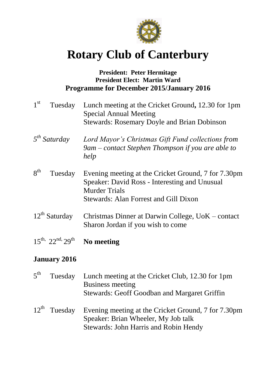

# **Rotary Club of Canterbury**

#### **President: Peter Hermitage President Elect: Martin Ward Programme for December 2015/January 2016**

| 1 <sup>st</sup><br>Tuesday        | Lunch meeting at the Cricket Ground, 12.30 for 1pm<br><b>Special Annual Meeting</b><br><b>Stewards: Rosemary Doyle and Brian Dobinson</b>                             |
|-----------------------------------|-----------------------------------------------------------------------------------------------------------------------------------------------------------------------|
| $5^{th}$ Saturday                 | Lord Mayor's Christmas Gift Fund collections from<br>9am – contact Stephen Thompson if you are able to<br>help                                                        |
| 8 <sup>th</sup><br>Tuesday        | Evening meeting at the Cricket Ground, 7 for 7.30pm<br>Speaker: David Ross - Interesting and Unusual<br><b>Murder Trials</b><br>Stewards: Alan Forrest and Gill Dixon |
| $12^{th}$ Saturday                | Christmas Dinner at Darwin College, UoK – contact<br>Sharon Jordan if you wish to come                                                                                |
| $15^{th}$ , $22^{nd}$ , $29^{th}$ | No meeting                                                                                                                                                            |

## **January 2016**

| $5^{\text{th}}$ | Tuesday | Lunch meeting at the Cricket Club, 12.30 for 1pm<br><b>Business meeting</b><br>Stewards: Geoff Goodban and Margaret Griffin                                  |
|-----------------|---------|--------------------------------------------------------------------------------------------------------------------------------------------------------------|
|                 |         | 12 <sup>th</sup> Tuesday Evening meeting at the Cricket Ground, 7 for 7.30pm<br>Speaker: Brian Wheeler, My Job talk<br>Stewards: John Harris and Robin Hendy |